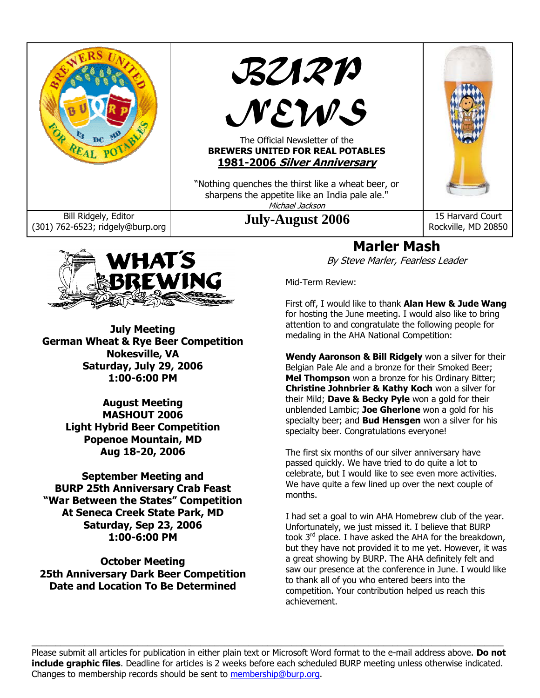



Rockville, MD 20850

# **Marler Mash**

By Steve Marler, Fearless Leader

Mid-Term Review:

First off, I would like to thank **Alan Hew & Jude Wang** for hosting the June meeting. I would also like to bring attention to and congratulate the following people for medaling in the AHA National Competition:

**Wendy Aaronson & Bill Ridgely** won a silver for their Belgian Pale Ale and a bronze for their Smoked Beer; **Mel Thompson** won a bronze for his Ordinary Bitter; **Christine Johnbrier & Kathy Koch** won a silver for their Mild; **Dave & Becky Pyle** won a gold for their unblended Lambic; **Joe Gherlone** won a gold for his specialty beer; and **Bud Hensgen** won a silver for his specialty beer. Congratulations everyone!

The first six months of our silver anniversary have passed quickly. We have tried to do quite a lot to celebrate, but I would like to see even more activities. We have quite a few lined up over the next couple of months.

I had set a goal to win AHA Homebrew club of the year. Unfortunately, we just missed it. I believe that BURP took  $3^{rd}$  place. I have asked the AHA for the breakdown, but they have not provided it to me yet. However, it was a great showing by BURP. The AHA definitely felt and saw our presence at the conference in June. I would like to thank all of you who entered beers into the competition. Your contribution helped us reach this achievement.

 $\_$  , and the state of the state of the state of the state of the state of the state of the state of the state of the state of the state of the state of the state of the state of the state of the state of the state of the Please submit all articles for publication in either plain text or Microsoft Word format to the e-mail address above. **Do not include graphic files**. Deadline for articles is 2 weeks before each scheduled BURP meeting unless otherwise indicated. Changes to membership records should be sent to membership@burp.org.



**July Meeting German Wheat & Rye Beer Competition Nokesville, VA Saturday, July 29, 2006 1:00-6:00 PM** 

> **August Meeting MASHOUT 2006 Light Hybrid Beer Competition Popenoe Mountain, MD Aug 18-20, 2006**

**September Meeting and BURP 25th Anniversary Crab Feast "War Between the States" Competition At Seneca Creek State Park, MD Saturday, Sep 23, 2006 1:00-6:00 PM** 

**October Meeting 25th Anniversary Dark Beer Competition Date and Location To Be Determined**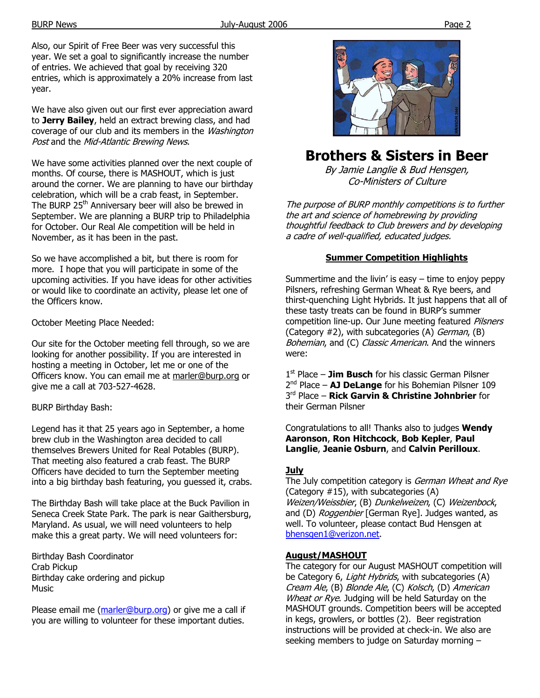Also, our Spirit of Free Beer was very successful this year. We set a goal to significantly increase the number of entries. We achieved that goal by receiving 320 entries, which is approximately a 20% increase from last year.

We have also given out our first ever appreciation award to **Jerry Bailey**, held an extract brewing class, and had coverage of our club and its members in the Washington Post and the Mid-Atlantic Brewing News.

We have some activities planned over the next couple of months. Of course, there is MASHOUT, which is just around the corner. We are planning to have our birthday celebration, which will be a crab feast, in September. The BURP 25<sup>th</sup> Anniversary beer will also be brewed in September. We are planning a BURP trip to Philadelphia for October. Our Real Ale competition will be held in November, as it has been in the past.

So we have accomplished a bit, but there is room for more. I hope that you will participate in some of the upcoming activities. If you have ideas for other activities or would like to coordinate an activity, please let one of the Officers know.

October Meeting Place Needed:

Our site for the October meeting fell through, so we are looking for another possibility. If you are interested in hosting a meeting in October, let me or one of the Officers know. You can email me at marler@burp.org or give me a call at 703-527-4628.

BURP Birthday Bash:

Legend has it that 25 years ago in September, a home brew club in the Washington area decided to call themselves Brewers United for Real Potables (BURP). That meeting also featured a crab feast. The BURP Officers have decided to turn the September meeting into a big birthday bash featuring, you guessed it, crabs.

The Birthday Bash will take place at the Buck Pavilion in Seneca Creek State Park. The park is near Gaithersburg, Maryland. As usual, we will need volunteers to help make this a great party. We will need volunteers for:

Birthday Bash Coordinator Crab Pickup Birthday cake ordering and pickup Music

Please email me (marler@burp.org) or give me a call if you are willing to volunteer for these important duties.



# **Brothers & Sisters in Beer**

By Jamie Langlie & Bud Hensgen, Co-Ministers of Culture

The purpose of BURP monthly competitions is to further the art and science of homebrewing by providing thoughtful feedback to Club brewers and by developing a cadre of well-qualified, educated judges.

### **Summer Competition Highlights**

Summertime and the livin' is easy  $-$  time to enjoy peppy Pilsners, refreshing German Wheat & Rye beers, and thirst-quenching Light Hybrids. It just happens that all of these tasty treats can be found in BURP's summer competition line-up. Our June meeting featured *Pilsners* (Category  $#2$ ), with subcategories (A) *German*, (B) Bohemian, and (C) Classic American. And the winners were:

1<sup>st</sup> Place - **Jim Busch** for his classic German Pilsner 2nd Place – **AJ DeLange** for his Bohemian Pilsner 109 3rd Place – **Rick Garvin & Christine Johnbrier** for their German Pilsner

Congratulations to all! Thanks also to judges **Wendy Aaronson**, **Ron Hitchcock**, **Bob Kepler**, **Paul Langlie**, **Jeanie Osburn**, and **Calvin Perilloux**.

### **July**

The July competition category is German Wheat and Rye (Category #15), with subcategories (A) Weizen/Weissbier, (B) Dunkelweizen, (C) Weizenbock, and (D) Roggenbier [German Rye]. Judges wanted, as well. To volunteer, please contact Bud Hensgen at bhensgen1@verizon.net.

### **August/MASHOUT**

The category for our August MASHOUT competition will be Category 6, Light Hybrids, with subcategories (A) Cream Ale, (B) Blonde Ale, (C) Kolsch, (D) American Wheat or Rye. Judging will be held Saturday on the MASHOUT grounds. Competition beers will be accepted in kegs, growlers, or bottles (2). Beer registration instructions will be provided at check-in. We also are seeking members to judge on Saturday morning –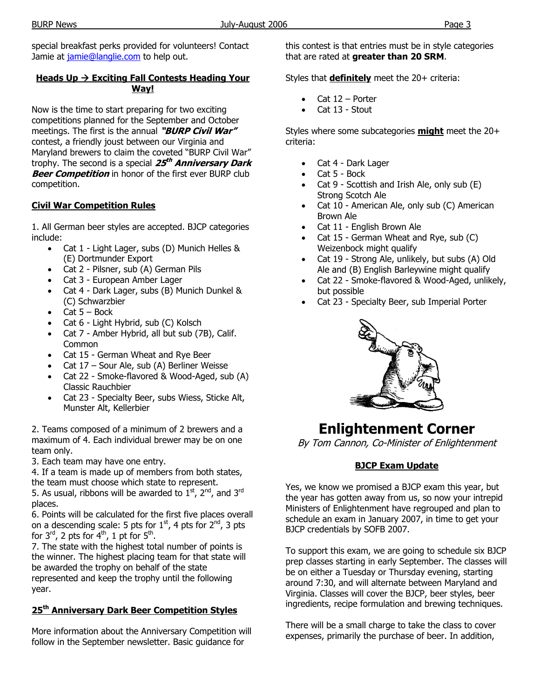### **Heads Up → Exciting Fall Contests Heading Your Way!**

Now is the time to start preparing for two exciting competitions planned for the September and October meetings. The first is the annual **"BURP Civil War"** contest, a friendly joust between our Virginia and Maryland brewers to claim the coveted "BURP Civil War" trophy. The second is a special **25th Anniversary Dark Beer Competition** in honor of the first ever BURP club competition.

### **Civil War Competition Rules**

1. All German beer styles are accepted. BJCP categories include:

- Cat 1 Light Lager, subs (D) Munich Helles & (E) Dortmunder Export
- Cat 2 Pilsner, sub (A) German Pils
- Cat 3 European Amber Lager
- Cat 4 Dark Lager, subs (B) Munich Dunkel & (C) Schwarzbier
- $Cat 5 Bock$
- Cat 6 Light Hybrid, sub (C) Kolsch
- Cat 7 Amber Hybrid, all but sub (7B), Calif. Common
- Cat 15 German Wheat and Rye Beer
- Cat 17 Sour Ale, sub (A) Berliner Weisse
- Cat 22 Smoke-flavored & Wood-Aged, sub (A) Classic Rauchbier
- Cat 23 Specialty Beer, subs Wiess, Sticke Alt, Munster Alt, Kellerbier

2. Teams composed of a minimum of 2 brewers and a maximum of 4. Each individual brewer may be on one team only.

3. Each team may have one entry.

4. If a team is made up of members from both states, the team must choose which state to represent.

5. As usual, ribbons will be awarded to  $1<sup>st</sup>$ ,  $2<sup>nd</sup>$ , and  $3<sup>rd</sup>$ places.

6. Points will be calculated for the first five places overall on a descending scale: 5 pts for  $1<sup>st</sup>$ , 4 pts for  $2<sup>nd</sup>$ , 3 pts for  $3^{\text{rd}}$ , 2 pts for  $4^{\text{th}}$ , 1 pt for  $5^{\text{th}}$ .

7. The state with the highest total number of points is the winner. The highest placing team for that state will be awarded the trophy on behalf of the state represented and keep the trophy until the following year.

### **25th Anniversary Dark Beer Competition Styles**

More information about the Anniversary Competition will follow in the September newsletter. Basic guidance for

this contest is that entries must be in style categories that are rated at **greater than 20 SRM**.

Styles that **definitely** meet the 20+ criteria:

- Cat  $12$  Porter
- Cat 13 Stout

Styles where some subcategories **might** meet the 20+ criteria:

- Cat 4 Dark Lager
- Cat 5 Bock
- Cat 9 Scottish and Irish Ale, only sub (E) Strong Scotch Ale
- Cat 10 American Ale, only sub (C) American Brown Ale
- Cat 11 English Brown Ale
- Cat 15 German Wheat and Rye, sub (C) Weizenbock might qualify
- Cat 19 Strong Ale, unlikely, but subs (A) Old Ale and (B) English Barleywine might qualify
- Cat 22 Smoke-flavored & Wood-Aged, unlikely, but possible
- Cat 23 Specialty Beer, sub Imperial Porter



# **Enlightenment Corner**

By Tom Cannon, Co-Minister of Enlightenment

### **BJCP Exam Update**

Yes, we know we promised a BJCP exam this year, but the year has gotten away from us, so now your intrepid Ministers of Enlightenment have regrouped and plan to schedule an exam in January 2007, in time to get your BJCP credentials by SOFB 2007.

To support this exam, we are going to schedule six BJCP prep classes starting in early September. The classes will be on either a Tuesday or Thursday evening, starting around 7:30, and will alternate between Maryland and Virginia. Classes will cover the BJCP, beer styles, beer ingredients, recipe formulation and brewing techniques.

There will be a small charge to take the class to cover expenses, primarily the purchase of beer. In addition,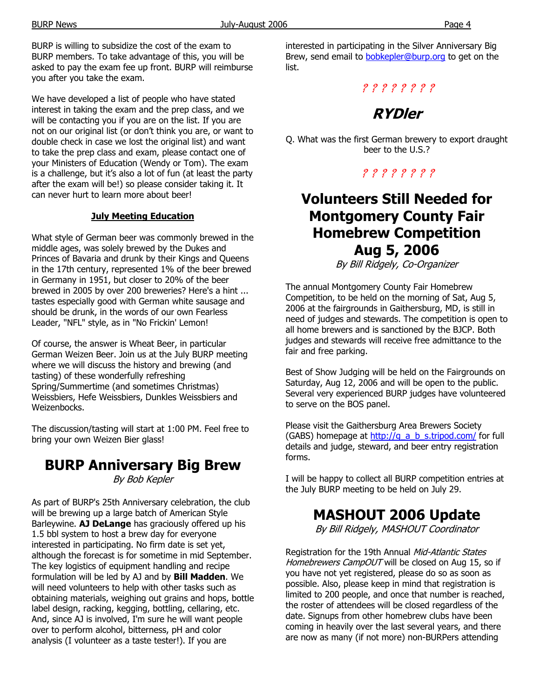BURP is willing to subsidize the cost of the exam to BURP members. To take advantage of this, you will be asked to pay the exam fee up front. BURP will reimburse you after you take the exam.

We have developed a list of people who have stated interest in taking the exam and the prep class, and we will be contacting you if you are on the list. If you are not on our original list (or don't think you are, or want to double check in case we lost the original list) and want to take the prep class and exam, please contact one of your Ministers of Education (Wendy or Tom). The exam is a challenge, but it's also a lot of fun (at least the party after the exam will be!) so please consider taking it. It can never hurt to learn more about beer!

### **July Meeting Education**

What style of German beer was commonly brewed in the middle ages, was solely brewed by the Dukes and Princes of Bavaria and drunk by their Kings and Queens in the 17th century, represented 1% of the beer brewed in Germany in 1951, but closer to 20% of the beer brewed in 2005 by over 200 breweries? Here's a hint ... tastes especially good with German white sausage and should be drunk, in the words of our own Fearless Leader, "NFL" style, as in "No Frickin' Lemon!

Of course, the answer is Wheat Beer, in particular German Weizen Beer. Join us at the July BURP meeting where we will discuss the history and brewing (and tasting) of these wonderfully refreshing Spring/Summertime (and sometimes Christmas) Weissbiers, Hefe Weissbiers, Dunkles Weissbiers and Weizenbocks.

The discussion/tasting will start at 1:00 PM. Feel free to bring your own Weizen Bier glass!

## **BURP Anniversary Big Brew**

By Bob Kepler

As part of BURP's 25th Anniversary celebration, the club will be brewing up a large batch of American Style Barleywine. **AJ DeLange** has graciously offered up his 1.5 bbl system to host a brew day for everyone interested in participating. No firm date is set yet, although the forecast is for sometime in mid September. The key logistics of equipment handling and recipe formulation will be led by AJ and by **Bill Madden**. We will need volunteers to help with other tasks such as obtaining materials, weighing out grains and hops, bottle label design, racking, kegging, bottling, cellaring, etc. And, since AJ is involved, I'm sure he will want people over to perform alcohol, bitterness, pH and color analysis (I volunteer as a taste tester!). If you are

interested in participating in the Silver Anniversary Big Brew, send email to **bobkepler@burp.org** to get on the list.

### ? ? ? ? ? ? ? ?

# **RYDler**

Q. What was the first German brewery to export draught beer to the U.S.?

### ? ? ? ? ? ? ? ?

# **Volunteers Still Needed for Montgomery County Fair Homebrew Competition Aug 5, 2006**

By Bill Ridgely, Co-Organizer

The annual Montgomery County Fair Homebrew Competition, to be held on the morning of Sat, Aug 5, 2006 at the fairgrounds in Gaithersburg, MD, is still in need of judges and stewards. The competition is open to all home brewers and is sanctioned by the BJCP. Both judges and stewards will receive free admittance to the fair and free parking.

Best of Show Judging will be held on the Fairgrounds on Saturday, Aug 12, 2006 and will be open to the public. Several very experienced BURP judges have volunteered to serve on the BOS panel.

Please visit the Gaithersburg Area Brewers Society (GABS) homepage at  $\frac{http://q}{dt}$  a b s.tripod.com/ for full details and judge, steward, and beer entry registration forms.

I will be happy to collect all BURP competition entries at the July BURP meeting to be held on July 29.

# **MASHOUT 2006 Update**

By Bill Ridgely, MASHOUT Coordinator

Registration for the 19th Annual Mid-Atlantic States Homebrewers CampOUT will be closed on Aug 15, so if you have not yet registered, please do so as soon as possible. Also, please keep in mind that registration is limited to 200 people, and once that number is reached, the roster of attendees will be closed regardless of the date. Signups from other homebrew clubs have been coming in heavily over the last several years, and there are now as many (if not more) non-BURPers attending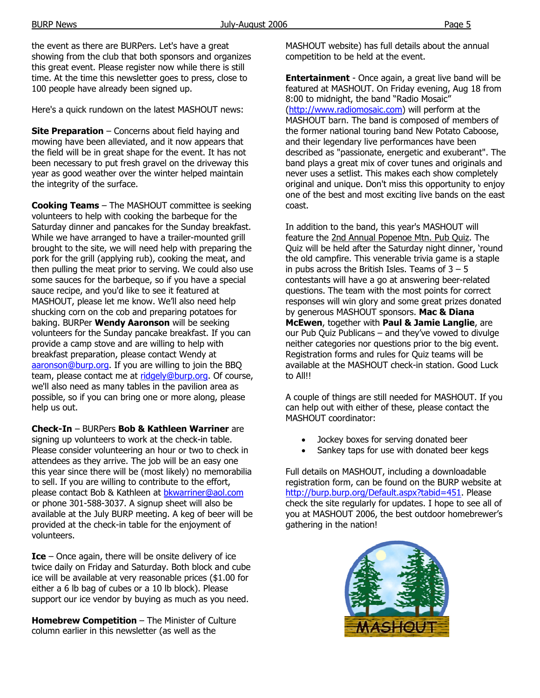the event as there are BURPers. Let's have a great showing from the club that both sponsors and organizes this great event. Please register now while there is still time. At the time this newsletter goes to press, close to 100 people have already been signed up.

Here's a quick rundown on the latest MASHOUT news:

**Site Preparation** – Concerns about field haying and mowing have been alleviated, and it now appears that the field will be in great shape for the event. It has not been necessary to put fresh gravel on the driveway this year as good weather over the winter helped maintain the integrity of the surface.

**Cooking Teams** – The MASHOUT committee is seeking volunteers to help with cooking the barbeque for the Saturday dinner and pancakes for the Sunday breakfast. While we have arranged to have a trailer-mounted grill brought to the site, we will need help with preparing the pork for the grill (applying rub), cooking the meat, and then pulling the meat prior to serving. We could also use some sauces for the barbeque, so if you have a special sauce recipe, and you'd like to see it featured at MASHOUT, please let me know. We'll also need help shucking corn on the cob and preparing potatoes for baking. BURPer **Wendy Aaronson** will be seeking volunteers for the Sunday pancake breakfast. If you can provide a camp stove and are willing to help with breakfast preparation, please contact Wendy at aaronson@burp.org. If you are willing to join the BBQ team, please contact me at ridgely@burp.org. Of course, we'll also need as many tables in the pavilion area as possible, so if you can bring one or more along, please help us out.

**Check-In** – BURPers **Bob & Kathleen Warriner** are signing up volunteers to work at the check-in table. Please consider volunteering an hour or two to check in attendees as they arrive. The job will be an easy one this year since there will be (most likely) no memorabilia to sell. If you are willing to contribute to the effort, please contact Bob & Kathleen at bkwarriner@aol.com or phone 301-588-3037. A signup sheet will also be available at the July BURP meeting. A keg of beer will be provided at the check-in table for the enjoyment of volunteers.

**Ice** – Once again, there will be onsite delivery of ice twice daily on Friday and Saturday. Both block and cube ice will be available at very reasonable prices (\$1.00 for either a 6 lb bag of cubes or a 10 lb block). Please support our ice vendor by buying as much as you need.

**Homebrew Competition - The Minister of Culture** column earlier in this newsletter (as well as the

MASHOUT website) has full details about the annual competition to be held at the event.

**Entertainment** - Once again, a great live band will be featured at MASHOUT. On Friday evening, Aug 18 from 8:00 to midnight, the band "Radio Mosaic" (http://www.radiomosaic.com) will perform at the MASHOUT barn. The band is composed of members of the former national touring band New Potato Caboose, and their legendary live performances have been described as "passionate, energetic and exuberant". The band plays a great mix of cover tunes and originals and never uses a setlist. This makes each show completely original and unique. Don't miss this opportunity to enjoy one of the best and most exciting live bands on the east coast.

In addition to the band, this year's MASHOUT will feature the 2nd Annual Popenoe Mtn. Pub Quiz. The Quiz will be held after the Saturday night dinner, 'round the old campfire. This venerable trivia game is a staple in pubs across the British Isles. Teams of  $3 - 5$ contestants will have a go at answering beer-related questions. The team with the most points for correct responses will win glory and some great prizes donated by generous MASHOUT sponsors. **Mac & Diana McEwen**, together with **Paul & Jamie Langlie**, are our Pub Quiz Publicans – and they've vowed to divulge neither categories nor questions prior to the big event. Registration forms and rules for Quiz teams will be available at the MASHOUT check-in station. Good Luck to All!!

A couple of things are still needed for MASHOUT. If you can help out with either of these, please contact the MASHOUT coordinator:

- Jockey boxes for serving donated beer
- Sankey taps for use with donated beer kegs

Full details on MASHOUT, including a downloadable registration form, can be found on the BURP website at http://burp.burp.org/Default.aspx?tabid=451. Please check the site regularly for updates. I hope to see all of you at MASHOUT 2006, the best outdoor homebrewer's gathering in the nation!

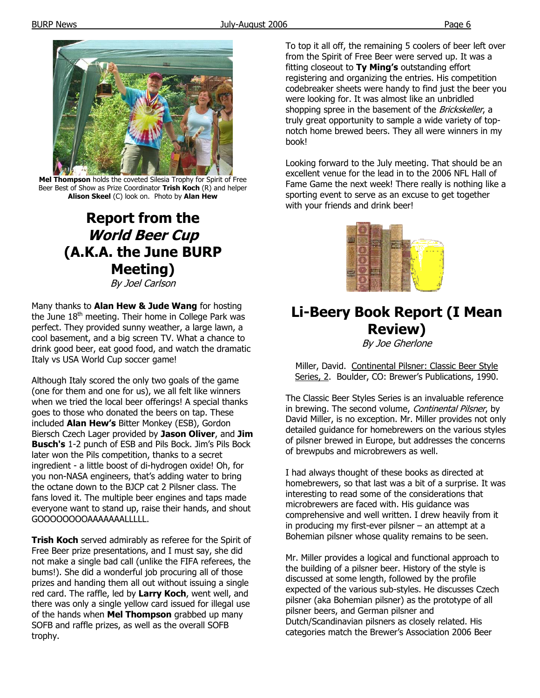

**Mel Thompson** holds the coveted Silesia Trophy for Spirit of Free Beer Best of Show as Prize Coordinator **Trish Koch** (R) and helper **Alison Skeel** (C) look on. Photo by **Alan Hew**

# **Report from the World Beer Cup (A.K.A. the June BURP Meeting)**

By Joel Carlson

Many thanks to **Alan Hew & Jude Wang** for hosting the June  $18<sup>th</sup>$  meeting. Their home in College Park was perfect. They provided sunny weather, a large lawn, a cool basement, and a big screen TV. What a chance to drink good beer, eat good food, and watch the dramatic Italy vs USA World Cup soccer game!

Although Italy scored the only two goals of the game (one for them and one for us), we all felt like winners when we tried the local beer offerings! A special thanks goes to those who donated the beers on tap. These included **Alan Hew's** Bitter Monkey (ESB), Gordon Biersch Czech Lager provided by **Jason Oliver**, and **Jim Busch's** 1-2 punch of ESB and Pils Bock. Jim's Pils Bock later won the Pils competition, thanks to a secret ingredient - a little boost of di-hydrogen oxide! Oh, for you non-NASA engineers, that's adding water to bring the octane down to the BJCP cat 2 Pilsner class. The fans loved it. The multiple beer engines and taps made everyone want to stand up, raise their hands, and shout GOOOOOOOOAAAAAAALLLLL.

**Trish Koch** served admirably as referee for the Spirit of Free Beer prize presentations, and I must say, she did not make a single bad call (unlike the FIFA referees, the bums!). She did a wonderful job procuring all of those prizes and handing them all out without issuing a single red card. The raffle, led by **Larry Koch**, went well, and there was only a single yellow card issued for illegal use of the hands when **Mel Thompson** grabbed up many SOFB and raffle prizes, as well as the overall SOFB trophy.

To top it all off, the remaining 5 coolers of beer left over from the Spirit of Free Beer were served up. It was a fitting closeout to **Ty Ming's** outstanding effort registering and organizing the entries. His competition codebreaker sheets were handy to find just the beer you were looking for. It was almost like an unbridled shopping spree in the basement of the Brickskeller, a truly great opportunity to sample a wide variety of topnotch home brewed beers. They all were winners in my book!

Looking forward to the July meeting. That should be an excellent venue for the lead in to the 2006 NFL Hall of Fame Game the next week! There really is nothing like a sporting event to serve as an excuse to get together with your friends and drink beer!



# **Li-Beery Book Report (I Mean Review)**

By Joe Gherlone

Miller, David. Continental Pilsner: Classic Beer Style Series, 2. Boulder, CO: Brewer's Publications, 1990.

The Classic Beer Styles Series is an invaluable reference in brewing. The second volume, Continental Pilsner, by David Miller, is no exception. Mr. Miller provides not only detailed guidance for homebrewers on the various styles of pilsner brewed in Europe, but addresses the concerns of brewpubs and microbrewers as well.

I had always thought of these books as directed at homebrewers, so that last was a bit of a surprise. It was interesting to read some of the considerations that microbrewers are faced with. His guidance was comprehensive and well written. I drew heavily from it in producing my first-ever pilsner – an attempt at a Bohemian pilsner whose quality remains to be seen.

Mr. Miller provides a logical and functional approach to the building of a pilsner beer. History of the style is discussed at some length, followed by the profile expected of the various sub-styles. He discusses Czech pilsner (aka Bohemian pilsner) as the prototype of all pilsner beers, and German pilsner and Dutch/Scandinavian pilsners as closely related. His categories match the Brewer's Association 2006 Beer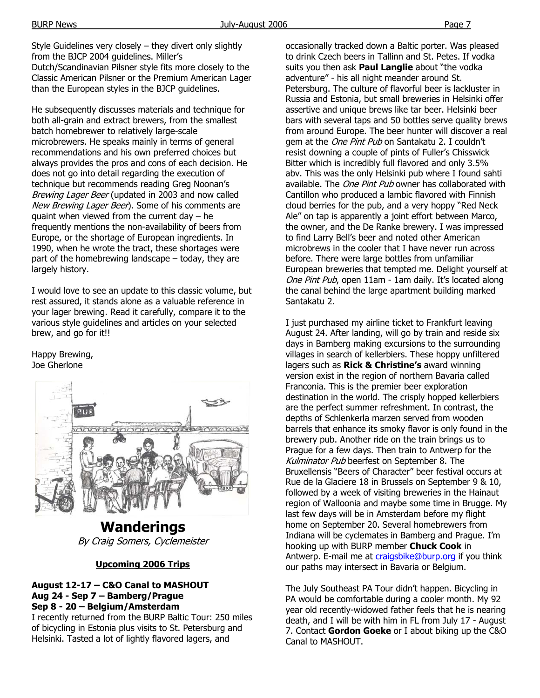Style Guidelines very closely – they divert only slightly from the BJCP 2004 guidelines. Miller's Dutch/Scandinavian Pilsner style fits more closely to the Classic American Pilsner or the Premium American Lager than the European styles in the BJCP guidelines.

He subsequently discusses materials and technique for both all-grain and extract brewers, from the smallest batch homebrewer to relatively large-scale microbrewers. He speaks mainly in terms of general recommendations and his own preferred choices but always provides the pros and cons of each decision. He does not go into detail regarding the execution of technique but recommends reading Greg Noonan's Brewing Lager Beer (updated in 2003 and now called New Brewing Lager Beer). Some of his comments are quaint when viewed from the current day – he frequently mentions the non-availability of beers from Europe, or the shortage of European ingredients. In 1990, when he wrote the tract, these shortages were part of the homebrewing landscape – today, they are largely history.

I would love to see an update to this classic volume, but rest assured, it stands alone as a valuable reference in your lager brewing. Read it carefully, compare it to the various style guidelines and articles on your selected brew, and go for it!!

Happy Brewing, Joe Gherlone



**Wanderings**  By Craig Somers, Cyclemeister

#### **Upcoming 2006 Trips**

#### **August 12-17 – C&O Canal to MASHOUT Aug 24 - Sep 7 – Bamberg/Prague Sep 8 - 20 – Belgium/Amsterdam**

I recently returned from the BURP Baltic Tour: 250 miles of bicycling in Estonia plus visits to St. Petersburg and Helsinki. Tasted a lot of lightly flavored lagers, and

occasionally tracked down a Baltic porter. Was pleased to drink Czech beers in Tallinn and St. Petes. If vodka suits you then ask **Paul Langlie** about "the vodka adventure" - his all night meander around St. Petersburg. The culture of flavorful beer is lackluster in Russia and Estonia, but small breweries in Helsinki offer assertive and unique brews like tar beer. Helsinki beer bars with several taps and 50 bottles serve quality brews from around Europe. The beer hunter will discover a real gem at the One Pint Pub on Santakatu 2. I couldn't resist downing a couple of pints of Fuller's Chisswick Bitter which is incredibly full flavored and only 3.5% abv. This was the only Helsinki pub where I found sahti available. The One Pint Pub owner has collaborated with Cantillon who produced a lambic flavored with Finnish cloud berries for the pub, and a very hoppy "Red Neck Ale" on tap is apparently a joint effort between Marco, the owner, and the De Ranke brewery. I was impressed to find Larry Bell's beer and noted other American microbrews in the cooler that I have never run across before. There were large bottles from unfamiliar European breweries that tempted me. Delight yourself at One Pint Pub, open 11am - 1am daily. It's located along the canal behind the large apartment building marked Santakatu 2.

I just purchased my airline ticket to Frankfurt leaving August 24. After landing, will go by train and reside six days in Bamberg making excursions to the surrounding villages in search of kellerbiers. These hoppy unfiltered lagers such as **Rick & Christine's** award winning version exist in the region of northern Bavaria called Franconia. This is the premier beer exploration destination in the world. The crisply hopped kellerbiers are the perfect summer refreshment. In contrast, the depths of Schlenkerla marzen served from wooden barrels that enhance its smoky flavor is only found in the brewery pub. Another ride on the train brings us to Prague for a few days. Then train to Antwerp for the Kulminator Pub beerfest on September 8. The Bruxellensis "Beers of Character" beer festival occurs at Rue de la Glaciere 18 in Brussels on September 9 & 10, followed by a week of visiting breweries in the Hainaut region of Walloonia and maybe some time in Brugge. My last few days will be in Amsterdam before my flight home on September 20. Several homebrewers from Indiana will be cyclemates in Bamberg and Prague. I'm hooking up with BURP member **Chuck Cook** in Antwerp. E-mail me at craigsbike@burp.org if you think our paths may intersect in Bavaria or Belgium.

The July Southeast PA Tour didn't happen. Bicycling in PA would be comfortable during a cooler month. My 92 year old recently-widowed father feels that he is nearing death, and I will be with him in FL from July 17 - August 7. Contact **Gordon Goeke** or I about biking up the C&O Canal to MASHOUT.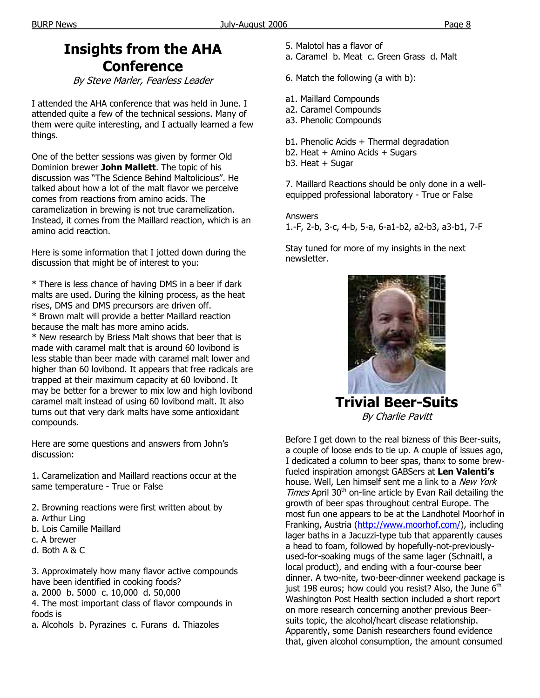# **Insights from the AHA Conference**

By Steve Marler, Fearless Leader

I attended the AHA conference that was held in June. I attended quite a few of the technical sessions. Many of them were quite interesting, and I actually learned a few things.

One of the better sessions was given by former Old Dominion brewer **John Mallett**. The topic of his discussion was "The Science Behind Maltolicious". He talked about how a lot of the malt flavor we perceive comes from reactions from amino acids. The caramelization in brewing is not true caramelization. Instead, it comes from the Maillard reaction, which is an amino acid reaction.

Here is some information that I jotted down during the discussion that might be of interest to you:

\* There is less chance of having DMS in a beer if dark malts are used. During the kilning process, as the heat rises, DMS and DMS precursors are driven off. \* Brown malt will provide a better Maillard reaction because the malt has more amino acids. \* New research by Briess Malt shows that beer that is made with caramel malt that is around 60 lovibond is less stable than beer made with caramel malt lower and higher than 60 lovibond. It appears that free radicals are trapped at their maximum capacity at 60 lovibond. It may be better for a brewer to mix low and high lovibond caramel malt instead of using 60 lovibond malt. It also turns out that very dark malts have some antioxidant compounds.

Here are some questions and answers from John's discussion:

1. Caramelization and Maillard reactions occur at the same temperature - True or False

- 2. Browning reactions were first written about by
- a. Arthur Ling
- b. Lois Camille Maillard
- c. A brewer
- d. Both A & C

3. Approximately how many flavor active compounds have been identified in cooking foods?

a. 2000 b. 5000 c. 10,000 d. 50,000

4. The most important class of flavor compounds in foods is

a. Alcohols b. Pyrazines c. Furans d. Thiazoles

- 5. Malotol has a flavor of
- a. Caramel b. Meat c. Green Grass d. Malt

6. Match the following (a with b):

- a1. Maillard Compounds
- a2. Caramel Compounds
- a3. Phenolic Compounds
- b1. Phenolic Acids + Thermal degradation
- b2. Heat + Amino Acids + Sugars
- b3. Heat + Sugar

7. Maillard Reactions should be only done in a wellequipped professional laboratory - True or False

Answers

1.-F, 2-b, 3-c, 4-b, 5-a, 6-a1-b2, a2-b3, a3-b1, 7-F

Stay tuned for more of my insights in the next newsletter.



**Trivial Beer-Suits**  By Charlie Pavitt

Before I get down to the real bizness of this Beer-suits, a couple of loose ends to tie up. A couple of issues ago, I dedicated a column to beer spas, thanx to some brewfueled inspiration amongst GABSers at **Len Valenti's** house. Well, Len himself sent me a link to a New York Times April  $30<sup>th</sup>$  on-line article by Evan Rail detailing the growth of beer spas throughout central Europe. The most fun one appears to be at the Landhotel Moorhof in Franking, Austria (http://www.moorhof.com/), including lager baths in a Jacuzzi-type tub that apparently causes a head to foam, followed by hopefully-not-previouslyused-for-soaking mugs of the same lager (Schnaitl, a local product), and ending with a four-course beer dinner. A two-nite, two-beer-dinner weekend package is just 198 euros; how could you resist? Also, the June  $6<sup>th</sup>$ Washington Post Health section included a short report on more research concerning another previous Beersuits topic, the alcohol/heart disease relationship. Apparently, some Danish researchers found evidence that, given alcohol consumption, the amount consumed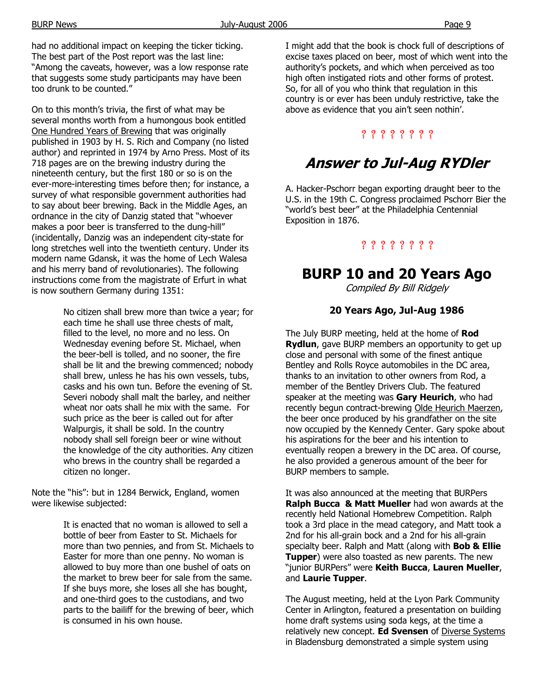had no additional impact on keeping the ticker ticking. The best part of the Post report was the last line: "Among the caveats, however, was a low response rate that suggests some study participants may have been too drunk to be counted."

On to this month's trivia, the first of what may be several months worth from a humongous book entitled One Hundred Years of Brewing that was originally published in 1903 by H. S. Rich and Company (no listed author) and reprinted in 1974 by Arno Press. Most of its 718 pages are on the brewing industry during the nineteenth century, but the first 180 or so is on the ever-more-interesting times before then; for instance, a survey of what responsible government authorities had to say about beer brewing. Back in the Middle Ages, an ordnance in the city of Danzig stated that "whoever makes a poor beer is transferred to the dung-hill" (incidentally, Danzig was an independent city-state for long stretches well into the twentieth century. Under its modern name Gdansk, it was the home of Lech Walesa and his merry band of revolutionaries). The following instructions come from the magistrate of Erfurt in what is now southern Germany during 1351:

> No citizen shall brew more than twice a year; for each time he shall use three chests of malt, filled to the level, no more and no less. On Wednesday evening before St. Michael, when the beer-bell is tolled, and no sooner, the fire shall be lit and the brewing commenced; nobody shall brew, unless he has his own vessels, tubs, casks and his own tun. Before the evening of St. Severi nobody shall malt the barley, and neither wheat nor oats shall he mix with the same. For such price as the beer is called out for after Walpurgis, it shall be sold. In the country nobody shall sell foreign beer or wine without the knowledge of the city authorities. Any citizen who brews in the country shall be regarded a citizen no longer.

Note the "his": but in 1284 Berwick, England, women were likewise subjected:

> It is enacted that no woman is allowed to sell a bottle of beer from Easter to St. Michaels for more than two pennies, and from St. Michaels to Easter for more than one penny. No woman is allowed to buy more than one bushel of oats on the market to brew beer for sale from the same. If she buys more, she loses all she has bought, and one-third goes to the custodians, and two parts to the bailiff for the brewing of beer, which is consumed in his own house.

I might add that the book is chock full of descriptions of excise taxes placed on beer, most of which went into the authority's pockets, and which when perceived as too high often instigated riots and other forms of protest. So, for all of you who think that regulation in this country is or ever has been unduly restrictive, take the above as evidence that you ain't seen nothin'.

### ? ? ? ? ? ? ? ?

# **Answer to Jul-Aug RYDler**

A. Hacker-Pschorr began exporting draught beer to the U.S. in the 19th C. Congress proclaimed Pschorr Bier the "world's best beer" at the Philadelphia Centennial Exposition in 1876.

### ? ? ? ? ? ? ? ?

### **BURP 10 and 20 Years Ago**

Compiled By Bill Ridgely

### **20 Years Ago, Jul-Aug 1986**

The July BURP meeting, held at the home of **Rod Rydlun**, gave BURP members an opportunity to get up close and personal with some of the finest antique Bentley and Rolls Royce automobiles in the DC area, thanks to an invitation to other owners from Rod, a member of the Bentley Drivers Club. The featured speaker at the meeting was **Gary Heurich**, who had recently begun contract-brewing Olde Heurich Maerzen, the beer once produced by his grandfather on the site now occupied by the Kennedy Center. Gary spoke about his aspirations for the beer and his intention to eventually reopen a brewery in the DC area. Of course, he also provided a generous amount of the beer for BURP members to sample.

It was also announced at the meeting that BURPers **Ralph Bucca & Matt Mueller** had won awards at the recently held National Homebrew Competition. Ralph took a 3rd place in the mead category, and Matt took a 2nd for his all-grain bock and a 2nd for his all-grain specialty beer. Ralph and Matt (along with **Bob & Ellie Tupper**) were also toasted as new parents. The new "junior BURPers" were **Keith Bucca**, **Lauren Mueller**, and **Laurie Tupper**.

The August meeting, held at the Lyon Park Community Center in Arlington, featured a presentation on building home draft systems using soda kegs, at the time a relatively new concept. **Ed Svensen** of Diverse Systems in Bladensburg demonstrated a simple system using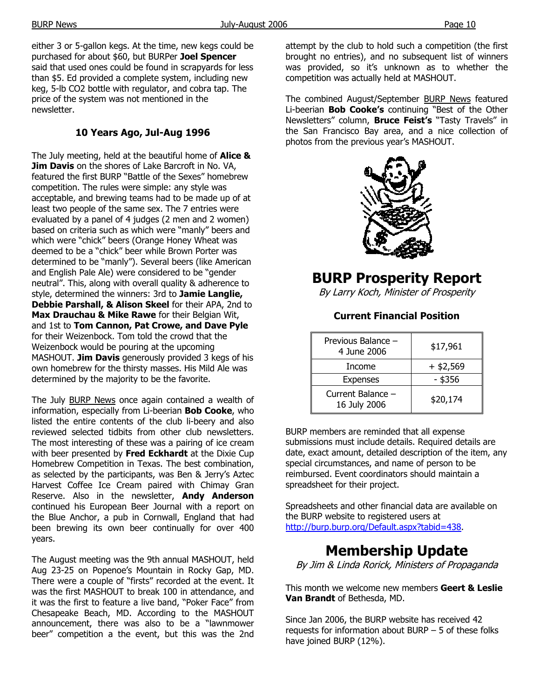either 3 or 5-gallon kegs. At the time, new kegs could be purchased for about \$60, but BURPer **Joel Spencer** said that used ones could be found in scrapyards for less than \$5. Ed provided a complete system, including new keg, 5-lb CO2 bottle with regulator, and cobra tap. The price of the system was not mentioned in the newsletter.

### **10 Years Ago, Jul-Aug 1996**

The July meeting, held at the beautiful home of **Alice & Jim Davis** on the shores of Lake Barcroft in No. VA, featured the first BURP "Battle of the Sexes" homebrew competition. The rules were simple: any style was acceptable, and brewing teams had to be made up of at least two people of the same sex. The 7 entries were evaluated by a panel of 4 judges (2 men and 2 women) based on criteria such as which were "manly" beers and which were "chick" beers (Orange Honey Wheat was deemed to be a "chick" beer while Brown Porter was determined to be "manly"). Several beers (like American and English Pale Ale) were considered to be "gender neutral". This, along with overall quality & adherence to style, determined the winners: 3rd to **Jamie Langlie, Debbie Parshall, & Alison Skeel** for their APA, 2nd to **Max Drauchau & Mike Rawe** for their Belgian Wit, and 1st to **Tom Cannon, Pat Crowe, and Dave Pyle** for their Weizenbock. Tom told the crowd that the Weizenbock would be pouring at the upcoming MASHOUT. **Jim Davis** generously provided 3 kegs of his own homebrew for the thirsty masses. His Mild Ale was determined by the majority to be the favorite.

The July BURP News once again contained a wealth of information, especially from Li-beerian **Bob Cooke**, who listed the entire contents of the club li-beery and also reviewed selected tidbits from other club newsletters. The most interesting of these was a pairing of ice cream with beer presented by **Fred Eckhardt** at the Dixie Cup Homebrew Competition in Texas. The best combination, as selected by the participants, was Ben & Jerry's Aztec Harvest Coffee Ice Cream paired with Chimay Gran Reserve. Also in the newsletter, **Andy Anderson** continued his European Beer Journal with a report on the Blue Anchor, a pub in Cornwall, England that had been brewing its own beer continually for over 400 years.

The August meeting was the 9th annual MASHOUT, held Aug 23-25 on Popenoe's Mountain in Rocky Gap, MD. There were a couple of "firsts" recorded at the event. It was the first MASHOUT to break 100 in attendance, and it was the first to feature a live band, "Poker Face" from Chesapeake Beach, MD. According to the MASHOUT announcement, there was also to be a "lawnmower beer" competition a the event, but this was the 2nd attempt by the club to hold such a competition (the first brought no entries), and no subsequent list of winners was provided, so it's unknown as to whether the competition was actually held at MASHOUT.

The combined August/September BURP News featured Li-beerian **Bob Cooke's** continuing "Best of the Other Newsletters" column, **Bruce Feist's** "Tasty Travels" in the San Francisco Bay area, and a nice collection of photos from the previous year's MASHOUT.



## **BURP Prosperity Report**

By Larry Koch, Minister of Prosperity

### **Current Financial Position**

| Previous Balance -<br>4 June 2006 | \$17,961    |
|-----------------------------------|-------------|
| Income                            | $+$ \$2,569 |
| <b>Expenses</b>                   | - \$356     |
| Current Balance -<br>16 July 2006 | \$20,174    |

BURP members are reminded that all expense submissions must include details. Required details are date, exact amount, detailed description of the item, any special circumstances, and name of person to be reimbursed. Event coordinators should maintain a spreadsheet for their project.

Spreadsheets and other financial data are available on the BURP website to registered users at http://burp.burp.org/Default.aspx?tabid=438.

# **Membership Update**

By Jim & Linda Rorick, Ministers of Propaganda

This month we welcome new members **Geert & Leslie Van Brandt** of Bethesda, MD.

Since Jan 2006, the BURP website has received 42 requests for information about BURP – 5 of these folks have joined BURP (12%).